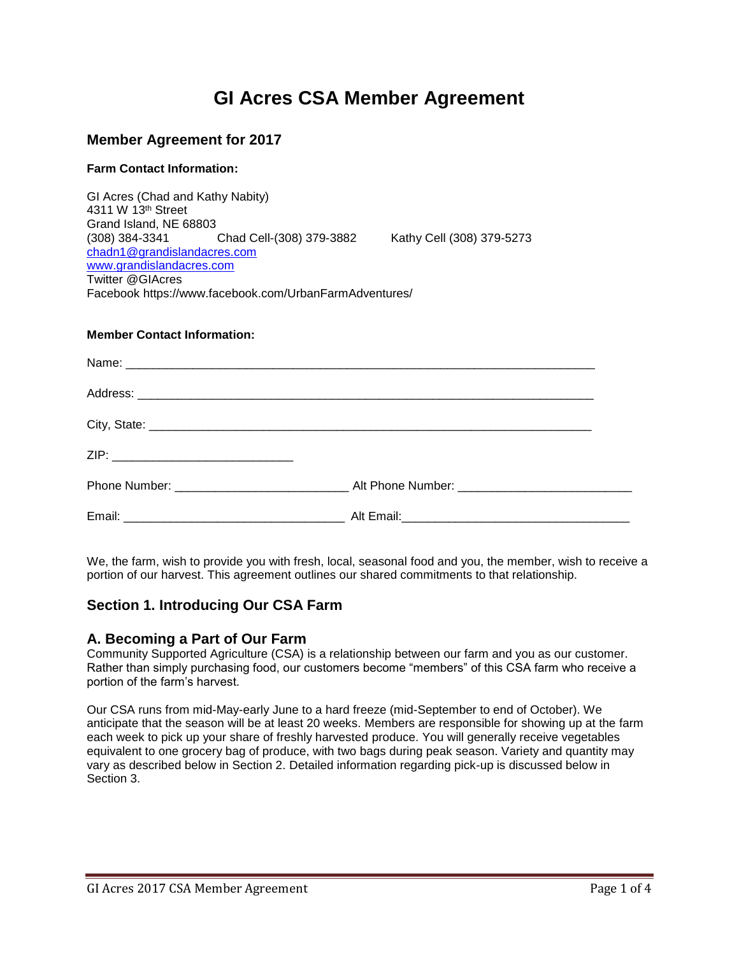# **GI Acres CSA Member Agreement**

#### **Member Agreement for 2017**

#### **Farm Contact Information:**

GI Acres (Chad and Kathy Nabity) 4311 W 13th Street Grand Island, NE 68803 (308) 384-3341 Chad Cell-(308) 379-3882 Kathy Cell (308) 379-5273 [chadn1@grandislandacres.com](mailto:chadn1@grandislandacres.com) [www.grandislandacres.com](http://www.grandislandacres.com/) Twitter @GIAcres Facebook https://www.facebook.com/UrbanFarmAdventures/

#### **Member Contact Information:**

We, the farm, wish to provide you with fresh, local, seasonal food and you, the member, wish to receive a portion of our harvest. This agreement outlines our shared commitments to that relationship.

#### **Section 1. Introducing Our CSA Farm**

#### **A. Becoming a Part of Our Farm**

Community Supported Agriculture (CSA) is a relationship between our farm and you as our customer. Rather than simply purchasing food, our customers become "members" of this CSA farm who receive a portion of the farm's harvest.

Our CSA runs from mid-May-early June to a hard freeze (mid-September to end of October). We anticipate that the season will be at least 20 weeks. Members are responsible for showing up at the farm each week to pick up your share of freshly harvested produce. You will generally receive vegetables equivalent to one grocery bag of produce, with two bags during peak season. Variety and quantity may vary as described below in Section 2. Detailed information regarding pick-up is discussed below in Section 3.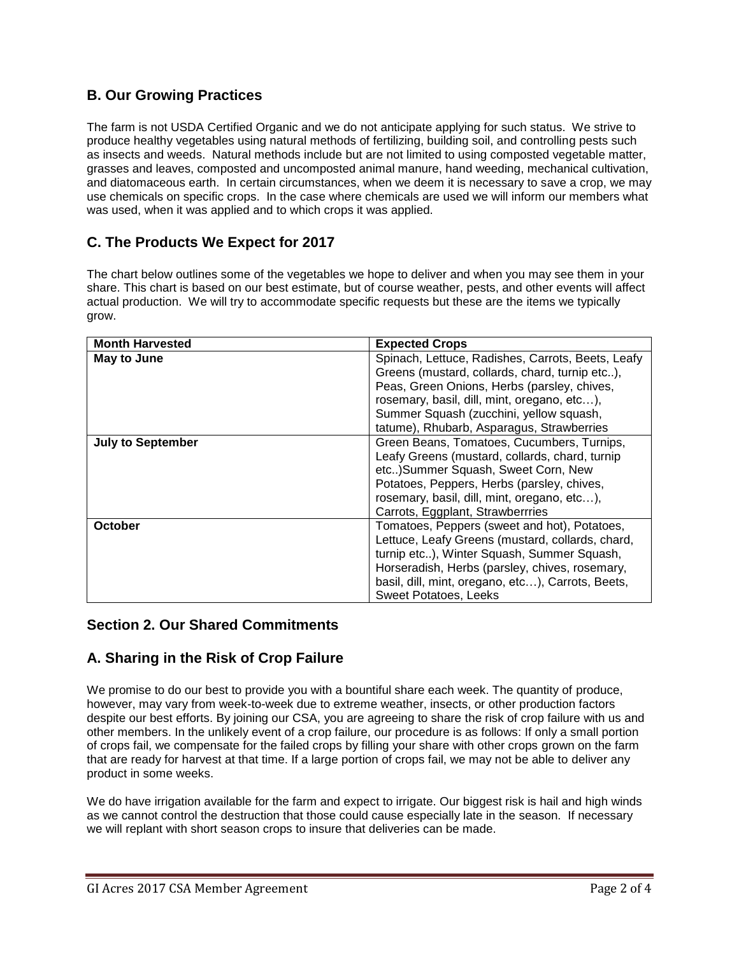# **B. Our Growing Practices**

The farm is not USDA Certified Organic and we do not anticipate applying for such status. We strive to produce healthy vegetables using natural methods of fertilizing, building soil, and controlling pests such as insects and weeds. Natural methods include but are not limited to using composted vegetable matter, grasses and leaves, composted and uncomposted animal manure, hand weeding, mechanical cultivation, and diatomaceous earth. In certain circumstances, when we deem it is necessary to save a crop, we may use chemicals on specific crops. In the case where chemicals are used we will inform our members what was used, when it was applied and to which crops it was applied.

## **C. The Products We Expect for 2017**

The chart below outlines some of the vegetables we hope to deliver and when you may see them in your share. This chart is based on our best estimate, but of course weather, pests, and other events will affect actual production. We will try to accommodate specific requests but these are the items we typically grow.

| <b>Month Harvested</b>   | <b>Expected Crops</b>                             |
|--------------------------|---------------------------------------------------|
| May to June              | Spinach, Lettuce, Radishes, Carrots, Beets, Leafy |
|                          | Greens (mustard, collards, chard, turnip etc),    |
|                          | Peas, Green Onions, Herbs (parsley, chives,       |
|                          | rosemary, basil, dill, mint, oregano, etc),       |
|                          | Summer Squash (zucchini, yellow squash,           |
|                          | tatume), Rhubarb, Asparagus, Strawberries         |
| <b>July to September</b> | Green Beans, Tomatoes, Cucumbers, Turnips,        |
|                          | Leafy Greens (mustard, collards, chard, turnip    |
|                          | etc) Summer Squash, Sweet Corn, New               |
|                          | Potatoes, Peppers, Herbs (parsley, chives,        |
|                          | rosemary, basil, dill, mint, oregano, etc),       |
|                          | Carrots, Eggplant, Strawberrries                  |
| October                  | Tomatoes, Peppers (sweet and hot), Potatoes,      |
|                          | Lettuce, Leafy Greens (mustard, collards, chard,  |
|                          | turnip etc), Winter Squash, Summer Squash,        |
|                          | Horseradish, Herbs (parsley, chives, rosemary,    |
|                          | basil, dill, mint, oregano, etc), Carrots, Beets, |
|                          | <b>Sweet Potatoes, Leeks</b>                      |

#### **Section 2. Our Shared Commitments**

# **A. Sharing in the Risk of Crop Failure**

We promise to do our best to provide you with a bountiful share each week. The quantity of produce, however, may vary from week-to-week due to extreme weather, insects, or other production factors despite our best efforts. By joining our CSA, you are agreeing to share the risk of crop failure with us and other members. In the unlikely event of a crop failure, our procedure is as follows: If only a small portion of crops fail, we compensate for the failed crops by filling your share with other crops grown on the farm that are ready for harvest at that time. If a large portion of crops fail, we may not be able to deliver any product in some weeks.

We do have irrigation available for the farm and expect to irrigate. Our biggest risk is hail and high winds as we cannot control the destruction that those could cause especially late in the season. If necessary we will replant with short season crops to insure that deliveries can be made.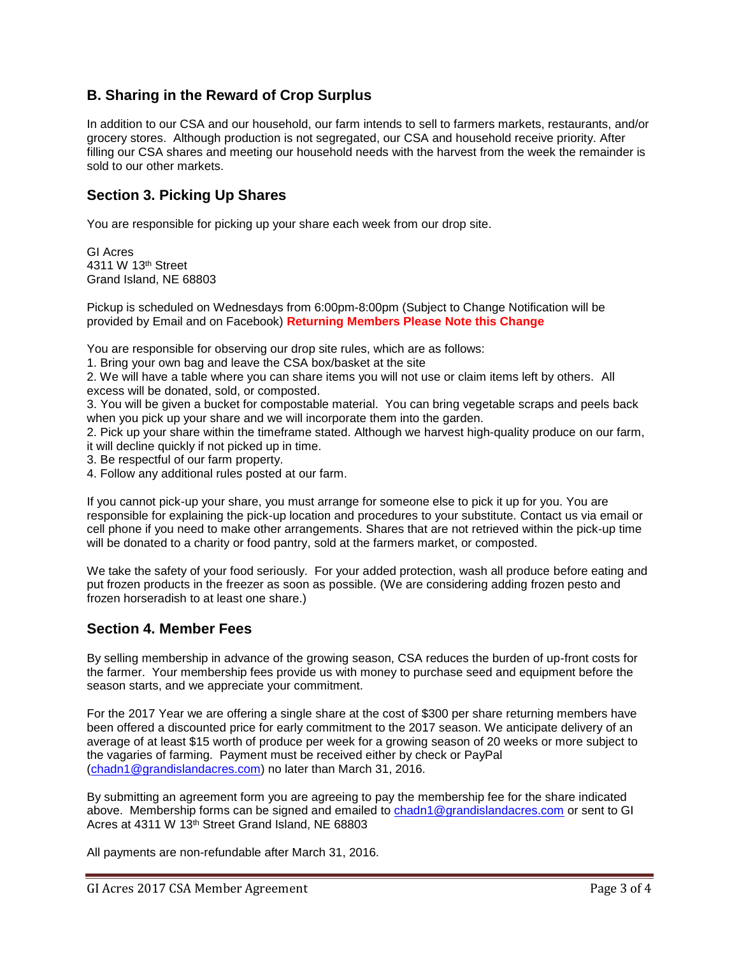## **B. Sharing in the Reward of Crop Surplus**

In addition to our CSA and our household, our farm intends to sell to farmers markets, restaurants, and/or grocery stores. Although production is not segregated, our CSA and household receive priority. After filling our CSA shares and meeting our household needs with the harvest from the week the remainder is sold to our other markets.

#### **Section 3. Picking Up Shares**

You are responsible for picking up your share each week from our drop site.

GI Acres 4311 W 13th Street Grand Island, NE 68803

Pickup is scheduled on Wednesdays from 6:00pm-8:00pm (Subject to Change Notification will be provided by Email and on Facebook) **Returning Members Please Note this Change**

You are responsible for observing our drop site rules, which are as follows:

1. Bring your own bag and leave the CSA box/basket at the site

2. We will have a table where you can share items you will not use or claim items left by others. All excess will be donated, sold, or composted.

3. You will be given a bucket for compostable material. You can bring vegetable scraps and peels back when you pick up your share and we will incorporate them into the garden.

2. Pick up your share within the timeframe stated. Although we harvest high-quality produce on our farm, it will decline quickly if not picked up in time.

3. Be respectful of our farm property.

4. Follow any additional rules posted at our farm.

If you cannot pick-up your share, you must arrange for someone else to pick it up for you. You are responsible for explaining the pick-up location and procedures to your substitute. Contact us via email or cell phone if you need to make other arrangements. Shares that are not retrieved within the pick-up time will be donated to a charity or food pantry, sold at the farmers market, or composted.

We take the safety of your food seriously. For your added protection, wash all produce before eating and put frozen products in the freezer as soon as possible. (We are considering adding frozen pesto and frozen horseradish to at least one share.)

#### **Section 4. Member Fees**

By selling membership in advance of the growing season, CSA reduces the burden of up-front costs for the farmer. Your membership fees provide us with money to purchase seed and equipment before the season starts, and we appreciate your commitment.

For the 2017 Year we are offering a single share at the cost of \$300 per share returning members have been offered a discounted price for early commitment to the 2017 season. We anticipate delivery of an average of at least \$15 worth of produce per week for a growing season of 20 weeks or more subject to the vagaries of farming. Payment must be received either by check or PayPal [\(chadn1@grandislandacres.com\)](mailto:chadn1@grandislandacres.com) no later than March 31, 2016.

By submitting an agreement form you are agreeing to pay the membership fee for the share indicated above. Membership forms can be signed and emailed to [chadn1@grandislandacres.com](mailto:chadn1@grandislandacres.com) or sent to GI Acres at 4311 W 13<sup>th</sup> Street Grand Island, NE 68803

All payments are non-refundable after March 31, 2016.